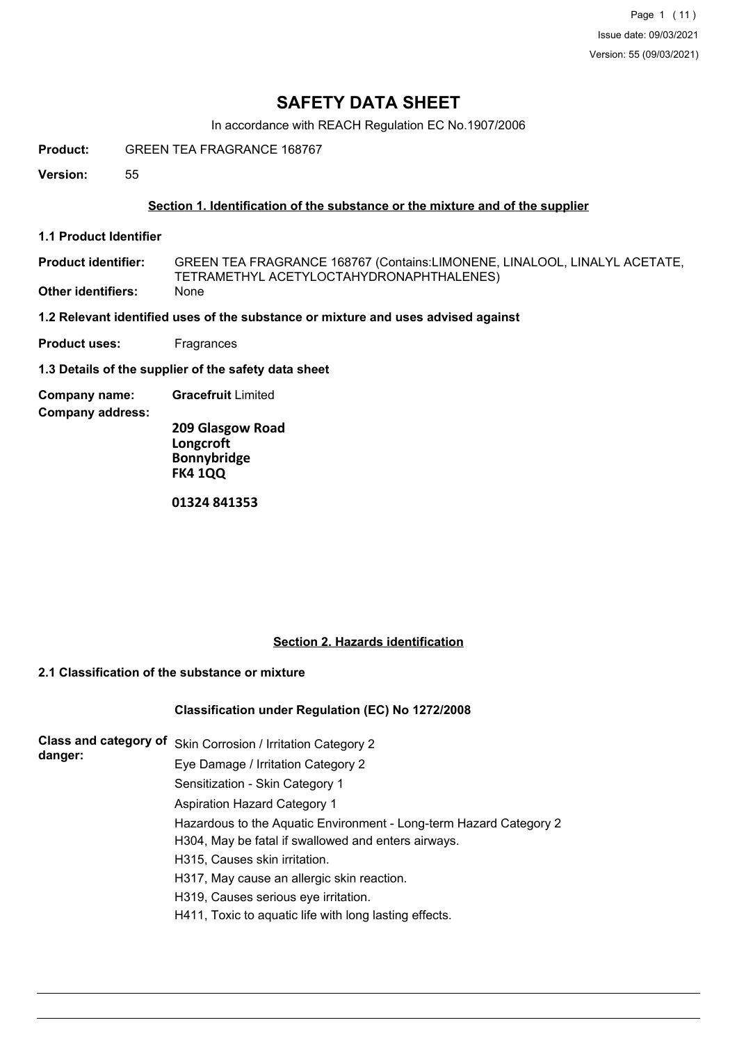# **SAFETY DATA SHEET**

In accordance with REACH Regulation EC No.1907/2006

**Product:** GREEN TEA FRAGRANCE 168767

**Version:** 55

# **Section 1. Identification of the substance or the mixture and of the supplier**

**1.1 Product Identifier**

GREEN TEA FRAGRANCE 168767 (Contains:LIMONENE, LINALOOL, LINALYL ACETATE, TETRAMETHYL ACETYLOCTAHYDRONAPHTHALENES) **Product identifier: Other identifiers:** None

**1.2 Relevant identified uses of the substance or mixture and uses advised against**

**Product uses:** Fragrances

**1.3 Details of the supplier of the safety data sheet**

**Company name: Gracefruit** Limited

**Company address:**

**209 Glasgow Road Longcroft Bonnybridge FK4 1QQ**

**01324 841353**

# **Section 2. Hazards identification**

# **2.1 Classification of the substance or mixture**

# **Classification under Regulation (EC) No 1272/2008**

| <b>Class and category of</b><br>danger: | Skin Corrosion / Irritation Category 2                             |
|-----------------------------------------|--------------------------------------------------------------------|
|                                         | Eye Damage / Irritation Category 2                                 |
|                                         | Sensitization - Skin Category 1                                    |
|                                         | <b>Aspiration Hazard Category 1</b>                                |
|                                         | Hazardous to the Aquatic Environment - Long-term Hazard Category 2 |
|                                         | H304, May be fatal if swallowed and enters airways.                |
|                                         | H315, Causes skin irritation.                                      |
|                                         | H317, May cause an allergic skin reaction.                         |
|                                         | H319, Causes serious eye irritation.                               |
|                                         | H411, Toxic to aquatic life with long lasting effects.             |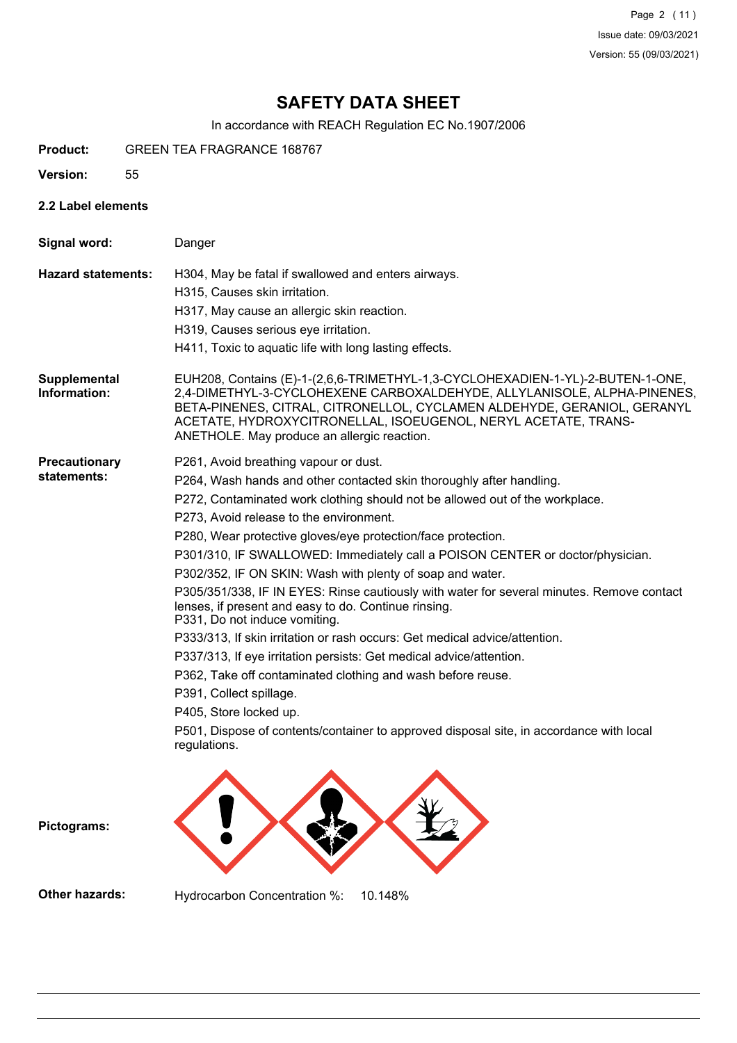Page 2 (11) Issue date: 09/03/2021 Version: 55 (09/03/2021)

# **SAFETY DATA SHEET**

In accordance with REACH Regulation EC No.1907/2006

- **Product:** GREEN TEA FRAGRANCE 168767
- **Version:** 55
- **2.2 Label elements**

| Signal word:                        | Danger                                                                                                                                                                                                                                                                                                                                                                                                                                                                                                                                                                                                                                                                                                                                                                                                                                                                                                                                                                                                                           |
|-------------------------------------|----------------------------------------------------------------------------------------------------------------------------------------------------------------------------------------------------------------------------------------------------------------------------------------------------------------------------------------------------------------------------------------------------------------------------------------------------------------------------------------------------------------------------------------------------------------------------------------------------------------------------------------------------------------------------------------------------------------------------------------------------------------------------------------------------------------------------------------------------------------------------------------------------------------------------------------------------------------------------------------------------------------------------------|
| <b>Hazard statements:</b>           | H304, May be fatal if swallowed and enters airways.<br>H315, Causes skin irritation.<br>H317, May cause an allergic skin reaction.<br>H319, Causes serious eye irritation.<br>H411, Toxic to aquatic life with long lasting effects.                                                                                                                                                                                                                                                                                                                                                                                                                                                                                                                                                                                                                                                                                                                                                                                             |
| Supplemental<br>Information:        | EUH208, Contains (E)-1-(2,6,6-TRIMETHYL-1,3-CYCLOHEXADIEN-1-YL)-2-BUTEN-1-ONE,<br>2,4-DIMETHYL-3-CYCLOHEXENE CARBOXALDEHYDE, ALLYLANISOLE, ALPHA-PINENES,<br>BETA-PINENES, CITRAL, CITRONELLOL, CYCLAMEN ALDEHYDE, GERANIOL, GERANYL<br>ACETATE, HYDROXYCITRONELLAL, ISOEUGENOL, NERYL ACETATE, TRANS-<br>ANETHOLE. May produce an allergic reaction.                                                                                                                                                                                                                                                                                                                                                                                                                                                                                                                                                                                                                                                                            |
| <b>Precautionary</b><br>statements: | P261, Avoid breathing vapour or dust.<br>P264, Wash hands and other contacted skin thoroughly after handling.<br>P272, Contaminated work clothing should not be allowed out of the workplace.<br>P273, Avoid release to the environment.<br>P280, Wear protective gloves/eye protection/face protection.<br>P301/310, IF SWALLOWED: Immediately call a POISON CENTER or doctor/physician.<br>P302/352, IF ON SKIN: Wash with plenty of soap and water.<br>P305/351/338, IF IN EYES: Rinse cautiously with water for several minutes. Remove contact<br>lenses, if present and easy to do. Continue rinsing.<br>P331, Do not induce vomiting.<br>P333/313, If skin irritation or rash occurs: Get medical advice/attention.<br>P337/313, If eye irritation persists: Get medical advice/attention.<br>P362, Take off contaminated clothing and wash before reuse.<br>P391, Collect spillage.<br>P405, Store locked up.<br>P501, Dispose of contents/container to approved disposal site, in accordance with local<br>regulations. |

**Pictograms:**

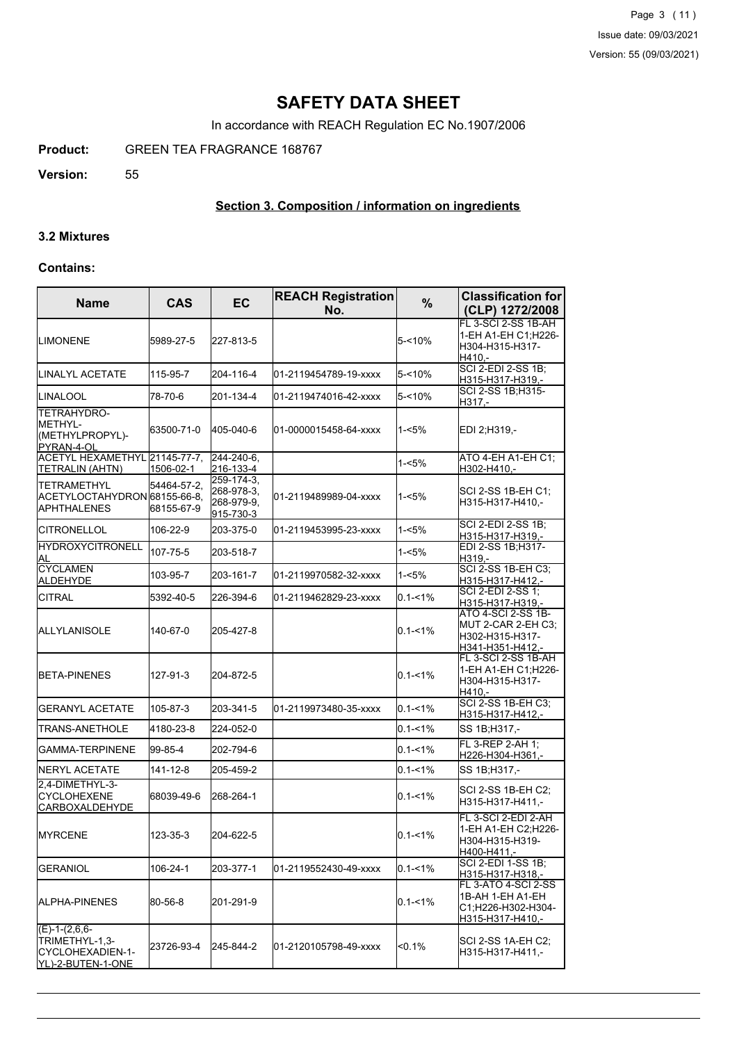Page 3 (11) Issue date: 09/03/2021 Version: 55 (09/03/2021)

# **SAFETY DATA SHEET**

In accordance with REACH Regulation EC No.1907/2006

**Product:** GREEN TEA FRAGRANCE 168767

**Version:** 55

# **Section 3. Composition / information on ingredients**

#### **3.2 Mixtures**

#### **Contains:**

| <b>Name</b>                                                                | <b>CAS</b>                | <b>EC</b>                                           | <b>REACH Registration</b><br>No. | %           | <b>Classification for</b><br>(CLP) 1272/2008                                      |
|----------------------------------------------------------------------------|---------------------------|-----------------------------------------------------|----------------------------------|-------------|-----------------------------------------------------------------------------------|
| ILIMONENE                                                                  | 5989-27-5                 | 227-813-5                                           |                                  | $5 - 10%$   | FL 3-SCI 2-SS 1B-AH<br>1-EH A1-EH C1; H226-<br>H304-H315-H317-<br>H410,-          |
| <b>LINALYL ACETATE</b>                                                     | 115-95-7                  | 204-116-4                                           | 01-2119454789-19-xxxx            | $5 - 10%$   | SCI 2-EDI 2-SS 1B;<br>H315-H317-H319,-                                            |
| <b>LINALOOL</b>                                                            | 78-70-6                   | 201-134-4                                           | 01-2119474016-42-xxxx            | $5 - 10%$   | SCI 2-SS 1B;H315-<br>H317,-                                                       |
| ITETRAHYDRO-<br>IMETHYL-<br>(METHYLPROPYL)-<br>PYRAN-4-OL                  | 63500-71-0                | 405-040-6                                           | 01-0000015458-64-xxxx            | 1-<5%       | EDI 2;H319,-                                                                      |
| ACETYL HEXAMETHYL 21145-77-7.<br><b>TETRALIN (AHTN)</b>                    | 1506-02-1                 | 244-240-6,<br>216-133-4                             |                                  | $1 - 5%$    | ATO 4-EH A1-EH C1:<br>H302-H410,-                                                 |
| <b>TETRAMETHYL</b><br> ACETYLOCTAHYDRON 68155-66-8.<br><b>JAPHTHALENES</b> | 54464-57-2,<br>68155-67-9 | 259-174-3,<br>268-978-3,<br>268-979-9,<br>915-730-3 | 01-2119489989-04-xxxx            | 1-<5%       | SCI 2-SS 1B-EH C1;<br>H315-H317-H410,-                                            |
| ICITRONELLOL                                                               | 106-22-9                  | 203-375-0                                           | 01-2119453995-23-xxxx            | $1 - 5%$    | SCI 2-EDI 2-SS 1B;<br>H315-H317-H319,-                                            |
| <b>HYDROXYCITRONELL</b><br>AL                                              | 107-75-5                  | 203-518-7                                           |                                  | $1 - 5%$    | EDI 2-SS 1B;H317-<br>H319,-                                                       |
| <b>CYCLAMEN</b><br>ALDEHYDE                                                | 103-95-7                  | 203-161-7                                           | 01-2119970582-32-xxxx            | $1 - 5%$    | <b>SCI 2-SS 1B-EH C3:</b><br>H315-H317-H412,-                                     |
| <b>CITRAL</b>                                                              | 5392-40-5                 | 226-394-6                                           | 01-2119462829-23-xxxx            | $0.1 - 1\%$ | SCI 2-EDI 2-SS 1;<br>H315-H317-H319,-                                             |
| <b>I</b> ALLYLANISOLE                                                      | 140-67-0                  | 205-427-8                                           |                                  | $0.1 - 1\%$ | ATO 4-SCI 2-SS 1B-<br>MUT 2-CAR 2-EH C3:<br>H302-H315-H317-<br>H341-H351-H412,-   |
| <b>BETA-PINENES</b>                                                        | 127-91-3                  | 204-872-5                                           |                                  | $0.1 - 1\%$ | FL 3-SCI 2-SS 1B-AH<br>1-EH A1-EH C1:H226-<br>H304-H315-H317-<br>H410.-           |
| <b>GERANYL ACETATE</b>                                                     | 105-87-3                  | 203-341-5                                           | 01-2119973480-35-xxxx            | $0.1 - 1\%$ | SCI 2-SS 1B-EH C3;<br>H315-H317-H412,-                                            |
| TRANS-ANETHOLE                                                             | 4180-23-8                 | 224-052-0                                           |                                  | $0.1 - 1\%$ | SS 1B;H317,-                                                                      |
| GAMMA-TERPINENE                                                            | 99-85-4                   | 202-794-6                                           |                                  | $0.1 - 1\%$ | FL 3-REP 2-AH 1;<br>H226-H304-H361,-                                              |
| NERYL ACETATE                                                              | 141-12-8                  | 205-459-2                                           |                                  | $0.1 - 1\%$ | SS 1B;H317,-                                                                      |
| 2,4-DIMETHYL-3-<br><b>CYCLOHEXENE</b><br><b>CARBOXALDEHYDE</b>             | 68039-49-6                | 268-264-1                                           |                                  | $0.1 - 1\%$ | SCI 2-SS 1B-EH C2:<br>H315-H317-H411,-                                            |
| <b>IMYRCENE</b>                                                            | 123-35-3                  | 204-622-5                                           |                                  | $0.1 - 1%$  | FL 3-SCI 2-EDI 2-AH<br>1-EH A1-EH C2;H226-<br>H304-H315-H319-<br>H400-H411,-      |
| IGERANIOL                                                                  | 106-24-1                  | 203-377-1                                           | 01-2119552430-49-xxxx            | $0.1 - 1\%$ | <b>SCI 2-EDI 1-SS 1B:</b><br>H315-H317-H318,-                                     |
| IALPHA-PINENES                                                             | 80-56-8                   | 201-291-9                                           |                                  | $0.1 - 1\%$ | FL 3-ATO 4-SCI 2-SS<br>1B-AH 1-EH A1-EH<br>C1;H226-H302-H304-<br>H315-H317-H410,- |
| $(E)-1-(2,6,6-$<br>TRIMETHYL-1,3-<br>CYCLOHEXADIEN-1-<br>YL)-2-BUTEN-1-ONE | 23726-93-4                | 245-844-2                                           | 01-2120105798-49-xxxx            | <0.1%       | SCI 2-SS 1A-EH C2;<br>H315-H317-H411,-                                            |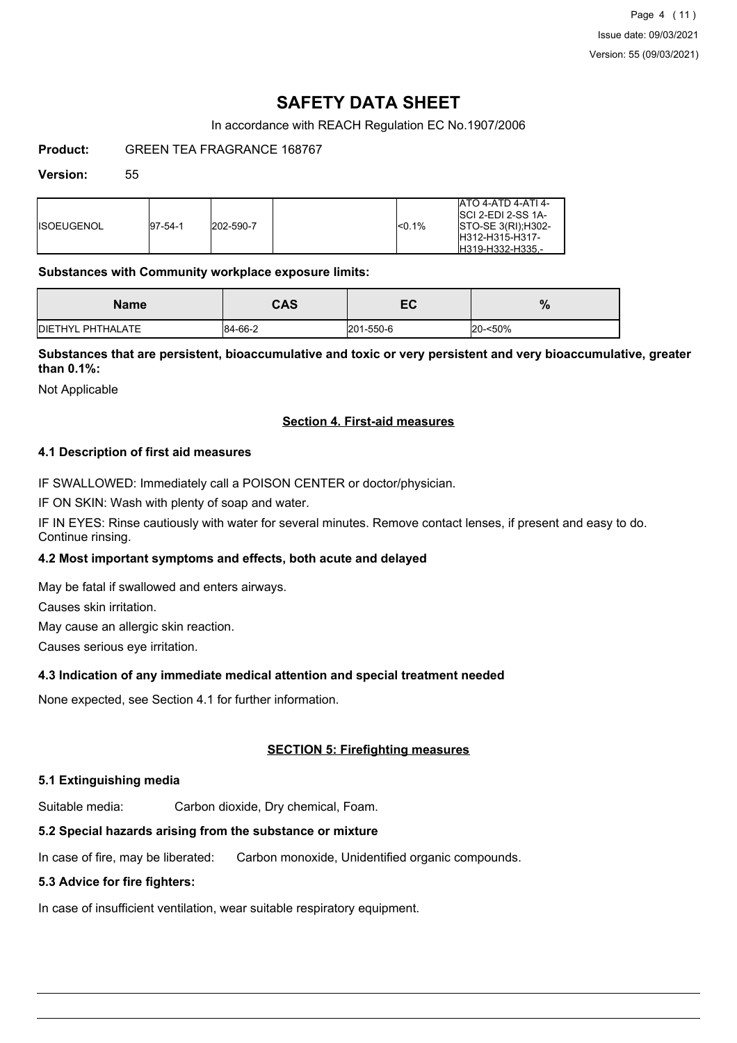# **SAFETY DATA SHEET**

In accordance with REACH Regulation EC No.1907/2006

**Product:** GREEN TEA FRAGRANCE 168767

#### **Version:** 55

| <b>IISOEUGENOL</b><br>202-590-7<br>$ 97-54-1$ | <sub>0.1%</sub> | <b>ATO 4-ATD 4-ATI 4-</b><br><b>ISCI 2-EDI 2-SS 1A-</b><br>STO-SE 3(RI); H302-<br>IH312-H315-H317-<br>H319-H332-H335.- |
|-----------------------------------------------|-----------------|------------------------------------------------------------------------------------------------------------------------|
|-----------------------------------------------|-----------------|------------------------------------------------------------------------------------------------------------------------|

#### **Substances with Community workplace exposure limits:**

| Name                      | CAS     | cv        | $\overline{0}$ |
|---------------------------|---------|-----------|----------------|
| <b>IDIETHYL PHTHALATE</b> | 84-66-2 | 201-550-6 | 20-<50%        |

# **Substances that are persistent, bioaccumulative and toxic or very persistent and very bioaccumulative, greater than 0.1%:**

Not Applicable

# **Section 4. First-aid measures**

# **4.1 Description of first aid measures**

IF SWALLOWED: Immediately call a POISON CENTER or doctor/physician.

IF ON SKIN: Wash with plenty of soap and water.

IF IN EYES: Rinse cautiously with water for several minutes. Remove contact lenses, if present and easy to do. Continue rinsing.

# **4.2 Most important symptoms and effects, both acute and delayed**

May be fatal if swallowed and enters airways.

Causes skin irritation.

May cause an allergic skin reaction.

Causes serious eye irritation.

# **4.3 Indication of any immediate medical attention and special treatment needed**

None expected, see Section 4.1 for further information.

# **SECTION 5: Firefighting measures**

# **5.1 Extinguishing media**

Suitable media: Carbon dioxide, Dry chemical, Foam.

# **5.2 Special hazards arising from the substance or mixture**

In case of fire, may be liberated: Carbon monoxide, Unidentified organic compounds.

# **5.3 Advice for fire fighters:**

In case of insufficient ventilation, wear suitable respiratory equipment.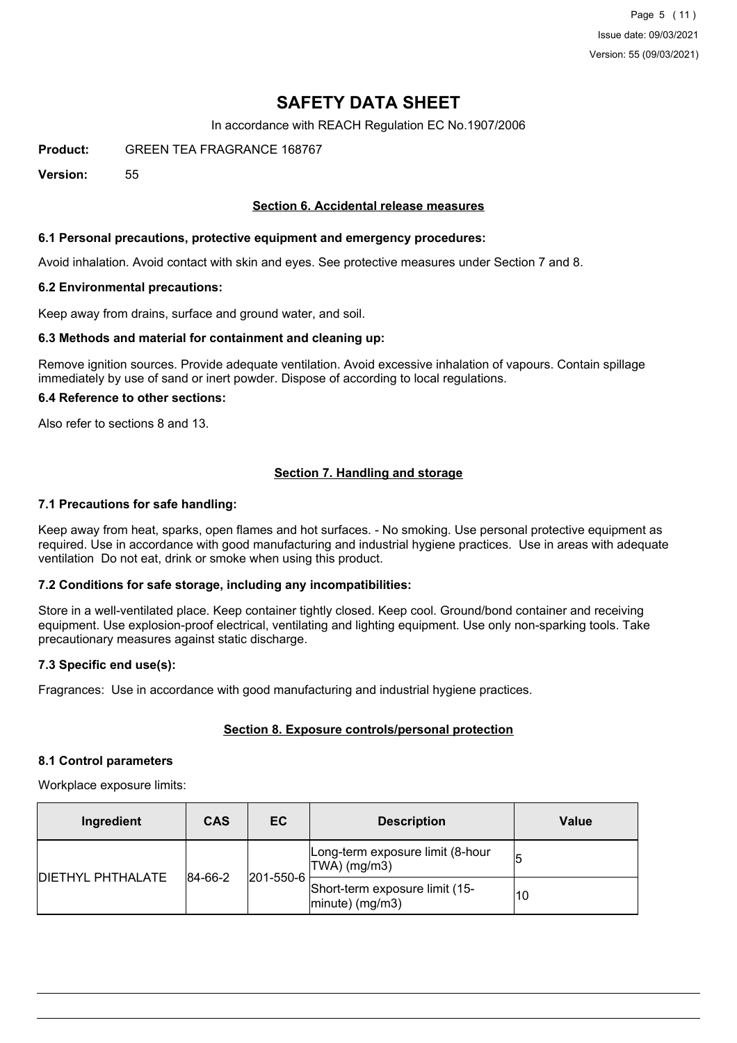# **SAFETY DATA SHEET**

In accordance with REACH Regulation EC No.1907/2006

**Product:** GREEN TEA FRAGRANCE 168767

**Version:** 55

# **Section 6. Accidental release measures**

# **6.1 Personal precautions, protective equipment and emergency procedures:**

Avoid inhalation. Avoid contact with skin and eyes. See protective measures under Section 7 and 8.

#### **6.2 Environmental precautions:**

Keep away from drains, surface and ground water, and soil.

#### **6.3 Methods and material for containment and cleaning up:**

Remove ignition sources. Provide adequate ventilation. Avoid excessive inhalation of vapours. Contain spillage immediately by use of sand or inert powder. Dispose of according to local regulations.

#### **6.4 Reference to other sections:**

Also refer to sections 8 and 13.

# **Section 7. Handling and storage**

#### **7.1 Precautions for safe handling:**

Keep away from heat, sparks, open flames and hot surfaces. - No smoking. Use personal protective equipment as required. Use in accordance with good manufacturing and industrial hygiene practices. Use in areas with adequate ventilation Do not eat, drink or smoke when using this product.

# **7.2 Conditions for safe storage, including any incompatibilities:**

Store in a well-ventilated place. Keep container tightly closed. Keep cool. Ground/bond container and receiving equipment. Use explosion-proof electrical, ventilating and lighting equipment. Use only non-sparking tools. Take precautionary measures against static discharge.

# **7.3 Specific end use(s):**

Fragrances: Use in accordance with good manufacturing and industrial hygiene practices.

# **Section 8. Exposure controls/personal protection**

#### **8.1 Control parameters**

Workplace exposure limits:

| Ingredient                           | <b>CAS</b> | EC        | <b>Description</b>                                   | Value |
|--------------------------------------|------------|-----------|------------------------------------------------------|-------|
|                                      |            |           | Long-term exposure limit (8-hour<br>$ TWA $ (mg/m3)  |       |
| 84-66-2<br><b>IDIETHYL PHTHALATE</b> |            | 201-550-6 | Short-term exposure limit (15-<br>$ minute)$ (mg/m3) | 10    |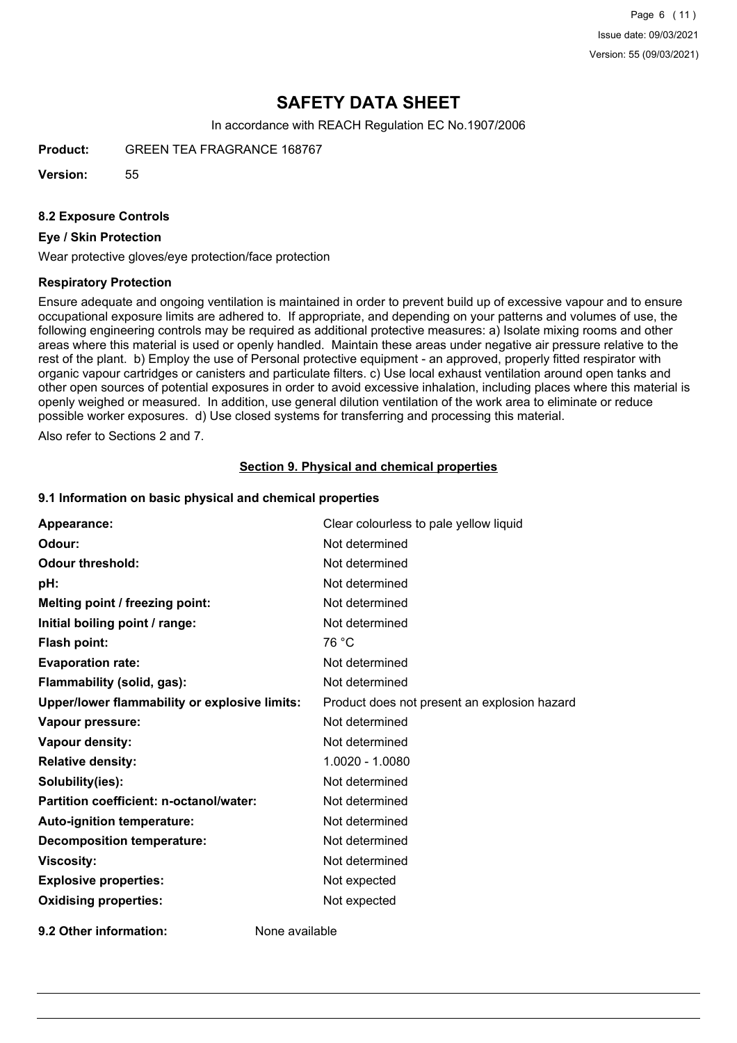Page 6 (11) Issue date: 09/03/2021 Version: 55 (09/03/2021)

# **SAFETY DATA SHEET**

In accordance with REACH Regulation EC No.1907/2006

**Product:** GREEN TEA FRAGRANCE 168767

**Version:** 55

#### **8.2 Exposure Controls**

### **Eye / Skin Protection**

Wear protective gloves/eye protection/face protection

#### **Respiratory Protection**

Ensure adequate and ongoing ventilation is maintained in order to prevent build up of excessive vapour and to ensure occupational exposure limits are adhered to. If appropriate, and depending on your patterns and volumes of use, the following engineering controls may be required as additional protective measures: a) Isolate mixing rooms and other areas where this material is used or openly handled. Maintain these areas under negative air pressure relative to the rest of the plant. b) Employ the use of Personal protective equipment - an approved, properly fitted respirator with organic vapour cartridges or canisters and particulate filters. c) Use local exhaust ventilation around open tanks and other open sources of potential exposures in order to avoid excessive inhalation, including places where this material is openly weighed or measured. In addition, use general dilution ventilation of the work area to eliminate or reduce possible worker exposures. d) Use closed systems for transferring and processing this material.

Also refer to Sections 2 and 7.

#### **Section 9. Physical and chemical properties**

#### **9.1 Information on basic physical and chemical properties**

| Appearance:                                   | Clear colourless to pale yellow liquid       |
|-----------------------------------------------|----------------------------------------------|
| Odour:                                        | Not determined                               |
| <b>Odour threshold:</b>                       | Not determined                               |
| pH:                                           | Not determined                               |
| Melting point / freezing point:               | Not determined                               |
| Initial boiling point / range:                | Not determined                               |
| <b>Flash point:</b>                           | 76 °C                                        |
| <b>Evaporation rate:</b>                      | Not determined                               |
| Flammability (solid, gas):                    | Not determined                               |
| Upper/lower flammability or explosive limits: | Product does not present an explosion hazard |
| Vapour pressure:                              | Not determined                               |
| Vapour density:                               | Not determined                               |
| <b>Relative density:</b>                      | 1.0020 - 1.0080                              |
| Solubility(ies):                              | Not determined                               |
| Partition coefficient: n-octanol/water:       | Not determined                               |
| Auto-ignition temperature:                    | Not determined                               |
| <b>Decomposition temperature:</b>             | Not determined                               |
| <b>Viscosity:</b>                             | Not determined                               |
| <b>Explosive properties:</b>                  | Not expected                                 |
| <b>Oxidising properties:</b>                  | Not expected                                 |
|                                               |                                              |

**9.2 Other information:** None available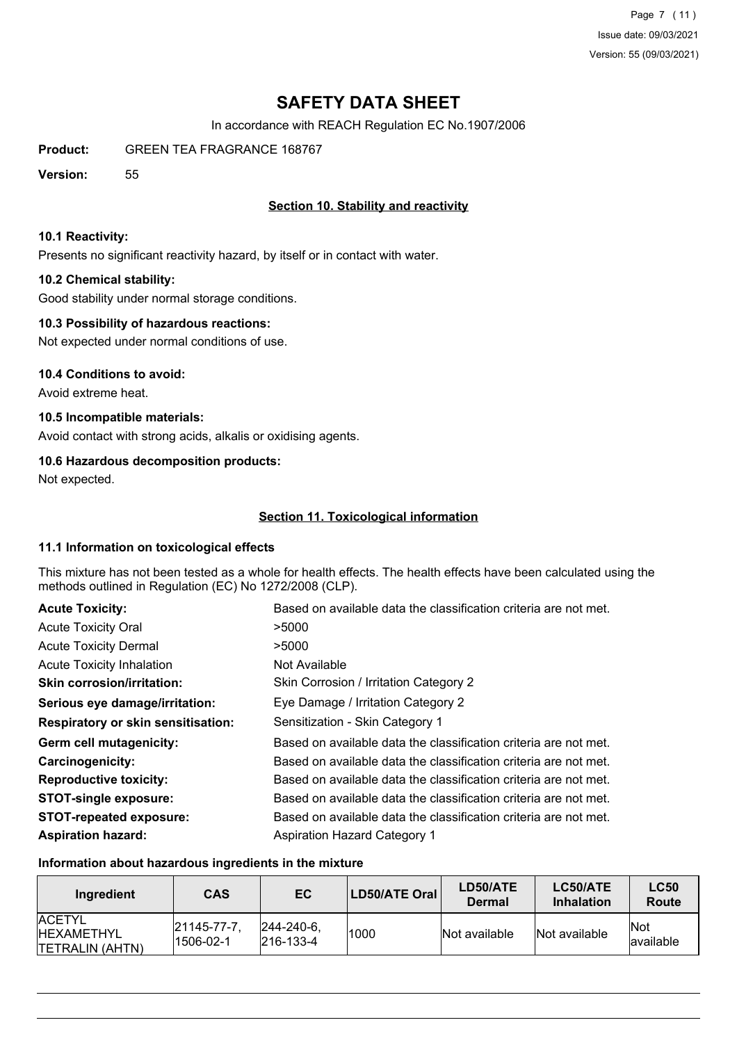Page 7 (11) Issue date: 09/03/2021 Version: 55 (09/03/2021)

# **SAFETY DATA SHEET**

In accordance with REACH Regulation EC No.1907/2006

**Product:** GREEN TEA FRAGRANCE 168767

**Version:** 55

# **Section 10. Stability and reactivity**

### **10.1 Reactivity:**

Presents no significant reactivity hazard, by itself or in contact with water.

# **10.2 Chemical stability:**

Good stability under normal storage conditions.

# **10.3 Possibility of hazardous reactions:**

Not expected under normal conditions of use.

#### **10.4 Conditions to avoid:**

Avoid extreme heat.

# **10.5 Incompatible materials:**

Avoid contact with strong acids, alkalis or oxidising agents.

# **10.6 Hazardous decomposition products:**

Not expected.

# **Section 11. Toxicological information**

# **11.1 Information on toxicological effects**

This mixture has not been tested as a whole for health effects. The health effects have been calculated using the methods outlined in Regulation (EC) No 1272/2008 (CLP).

| <b>Acute Toxicity:</b>                    | Based on available data the classification criteria are not met. |
|-------------------------------------------|------------------------------------------------------------------|
| <b>Acute Toxicity Oral</b>                | >5000                                                            |
| <b>Acute Toxicity Dermal</b>              | >5000                                                            |
| <b>Acute Toxicity Inhalation</b>          | Not Available                                                    |
| <b>Skin corrosion/irritation:</b>         | Skin Corrosion / Irritation Category 2                           |
| Serious eye damage/irritation:            | Eye Damage / Irritation Category 2                               |
| <b>Respiratory or skin sensitisation:</b> | Sensitization - Skin Category 1                                  |
| Germ cell mutagenicity:                   | Based on available data the classification criteria are not met. |
| Carcinogenicity:                          | Based on available data the classification criteria are not met. |
| <b>Reproductive toxicity:</b>             | Based on available data the classification criteria are not met. |
| <b>STOT-single exposure:</b>              | Based on available data the classification criteria are not met. |
| <b>STOT-repeated exposure:</b>            | Based on available data the classification criteria are not met. |
| <b>Aspiration hazard:</b>                 | Aspiration Hazard Category 1                                     |

# **Information about hazardous ingredients in the mixture**

| Ingredient                                                    | <b>CAS</b>              | EC                                     | LD50/ATE Oral | LD50/ATE<br>Dermal | LC50/ATE<br><b>Inhalation</b> | <b>LC50</b><br><b>Route</b> |
|---------------------------------------------------------------|-------------------------|----------------------------------------|---------------|--------------------|-------------------------------|-----------------------------|
| <b>ACETYL</b><br><b>HEXAMETHYL</b><br><b>ITETRALIN (AHTN)</b> | 21145-77-7<br>1506-02-1 | $ 244 - 240 - 6 $<br>$ 216 - 133 - 4 $ | 1000          | Not available      | Not available                 | <b>Not</b><br>lavailable    |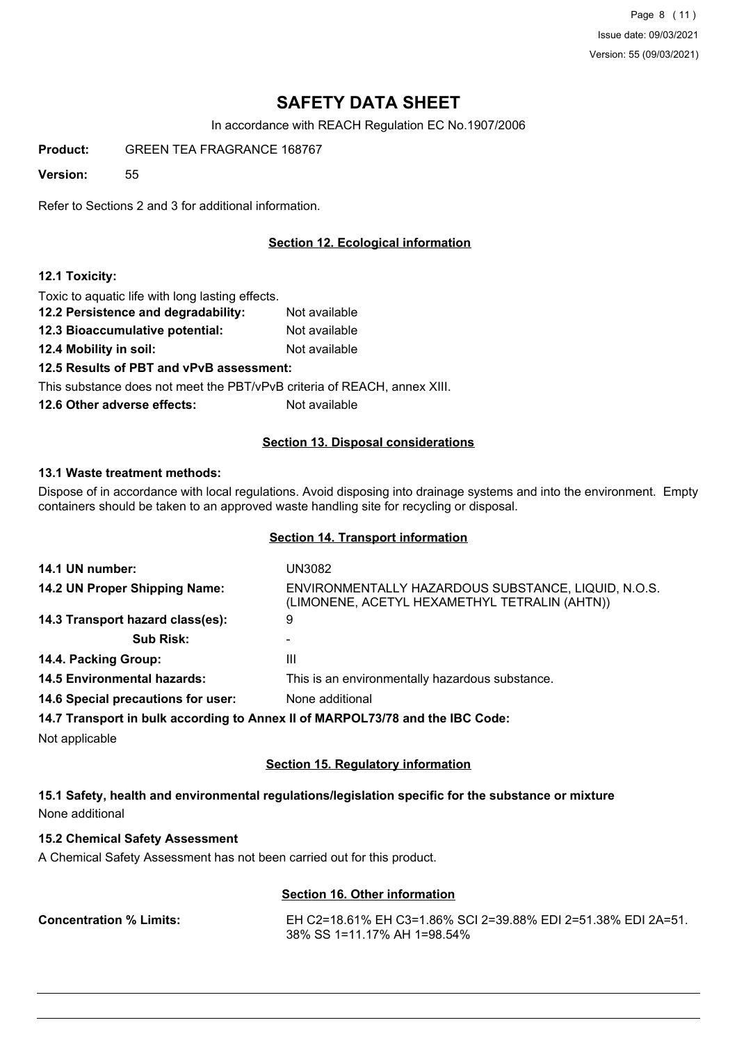Page 8 (11) Issue date: 09/03/2021 Version: 55 (09/03/2021)

# **SAFETY DATA SHEET**

In accordance with REACH Regulation EC No.1907/2006

**Product:** GREEN TEA FRAGRANCE 168767

**Version:** 55

Refer to Sections 2 and 3 for additional information.

# **Section 12. Ecological information**

# **12.1 Toxicity:**

Toxic to aquatic life with long lasting effects.

**12.2 Persistence and degradability:** Not available **12.3 Bioaccumulative potential:** Not available **12.4 Mobility in soil:** Not available **12.5 Results of PBT and vPvB assessment:** This substance does not meet the PBT/vPvB criteria of REACH, annex XIII. **12.6 Other adverse effects:** Not available

# **Section 13. Disposal considerations**

#### **13.1 Waste treatment methods:**

Dispose of in accordance with local regulations. Avoid disposing into drainage systems and into the environment. Empty containers should be taken to an approved waste handling site for recycling or disposal.

### **Section 14. Transport information**

| 14.1 UN number:                    | UN3082                                                                                               |
|------------------------------------|------------------------------------------------------------------------------------------------------|
| 14.2 UN Proper Shipping Name:      | ENVIRONMENTALLY HAZARDOUS SUBSTANCE, LIQUID, N.O.S.<br>(LIMONENE, ACETYL HEXAMETHYL TETRALIN (AHTN)) |
| 14.3 Transport hazard class(es):   | 9                                                                                                    |
| <b>Sub Risk:</b>                   |                                                                                                      |
| 14.4. Packing Group:               | Ш                                                                                                    |
| <b>14.5 Environmental hazards:</b> | This is an environmentally hazardous substance.                                                      |
| 14.6 Special precautions for user: | None additional                                                                                      |
|                                    | 14.7 Transport in bulk according to Annex II of MARPOL73/78 and the IBC Code:                        |
| Not applicable                     |                                                                                                      |

### **Section 15. Regulatory information**

**15.1 Safety, health and environmental regulations/legislation specific for the substance or mixture** None additional

# **15.2 Chemical Safety Assessment**

A Chemical Safety Assessment has not been carried out for this product.

# **Section 16. Other information**

**Concentration % Limits:** EH C2=18.61% EH C3=1.86% SCI 2=39.88% EDI 2=51.38% EDI 2A=51. 38% SS 1=11.17% AH 1=98.54%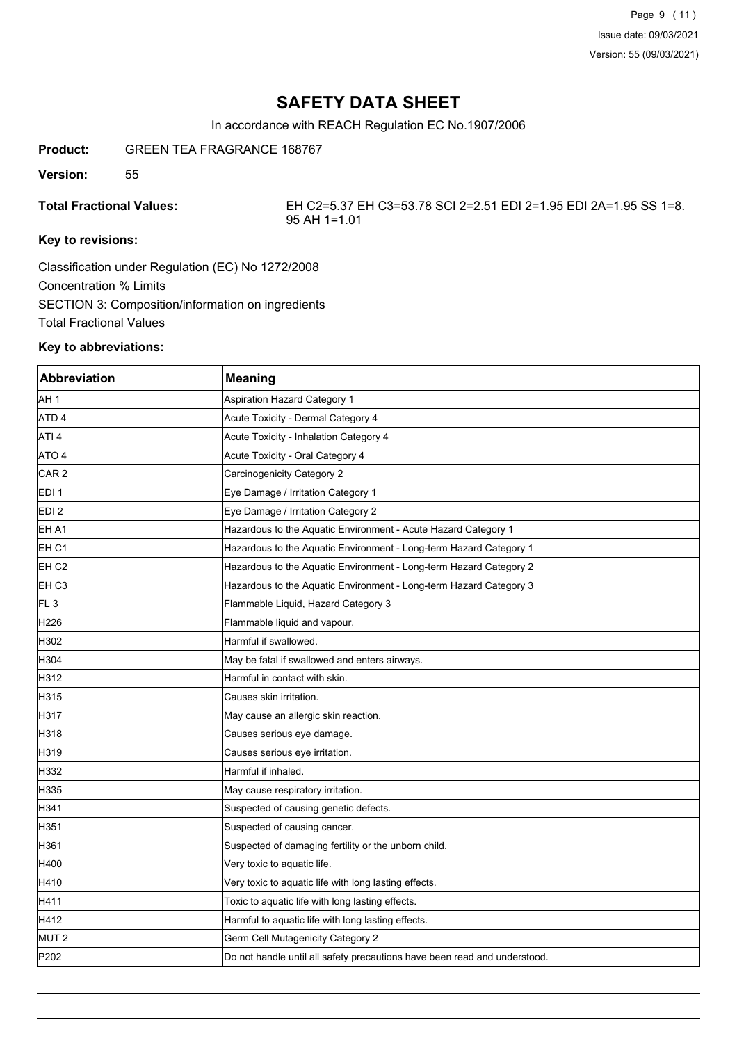Page 9 (11) Issue date: 09/03/2021 Version: 55 (09/03/2021)

# **SAFETY DATA SHEET**

In accordance with REACH Regulation EC No.1907/2006

**Product:** GREEN TEA FRAGRANCE 168767

**Version:** 55

**Total Fractional Values:** EH C2=5.37 EH C3=53.78 SCI 2=2.51 EDI 2=1.95 EDI 2A=1.95 SS 1=8. 95 AH 1=1.01

# **Key to revisions:**

Classification under Regulation (EC) No 1272/2008 Concentration % Limits SECTION 3: Composition/information on ingredients Total Fractional Values

# **Key to abbreviations:**

| <b>Abbreviation</b> | <b>Meaning</b>                                                            |
|---------------------|---------------------------------------------------------------------------|
| AH 1                | <b>Aspiration Hazard Category 1</b>                                       |
| ATD <sub>4</sub>    | Acute Toxicity - Dermal Category 4                                        |
| ATI 4               | Acute Toxicity - Inhalation Category 4                                    |
| ATO 4               | Acute Toxicity - Oral Category 4                                          |
| CAR <sub>2</sub>    | Carcinogenicity Category 2                                                |
| EDI 1               | Eye Damage / Irritation Category 1                                        |
| EDI <sub>2</sub>    | Eye Damage / Irritation Category 2                                        |
| EH A1               | Hazardous to the Aquatic Environment - Acute Hazard Category 1            |
| EH C1               | Hazardous to the Aquatic Environment - Long-term Hazard Category 1        |
| EH <sub>C2</sub>    | Hazardous to the Aquatic Environment - Long-term Hazard Category 2        |
| EH C3               | Hazardous to the Aquatic Environment - Long-term Hazard Category 3        |
| FL <sub>3</sub>     | Flammable Liquid, Hazard Category 3                                       |
| H226                | Flammable liquid and vapour.                                              |
| H302                | Harmful if swallowed.                                                     |
| H304                | May be fatal if swallowed and enters airways.                             |
| H312                | Harmful in contact with skin.                                             |
| H315                | Causes skin irritation.                                                   |
| H317                | May cause an allergic skin reaction.                                      |
| H318                | Causes serious eye damage.                                                |
| H319                | Causes serious eye irritation.                                            |
| H332                | Harmful if inhaled.                                                       |
| H335                | May cause respiratory irritation.                                         |
| H341                | Suspected of causing genetic defects.                                     |
| H351                | Suspected of causing cancer.                                              |
| H361                | Suspected of damaging fertility or the unborn child.                      |
| H400                | Very toxic to aquatic life.                                               |
| H410                | Very toxic to aquatic life with long lasting effects.                     |
| H411                | Toxic to aquatic life with long lasting effects.                          |
| H412                | Harmful to aquatic life with long lasting effects.                        |
| MUT <sub>2</sub>    | Germ Cell Mutagenicity Category 2                                         |
| P202                | Do not handle until all safety precautions have been read and understood. |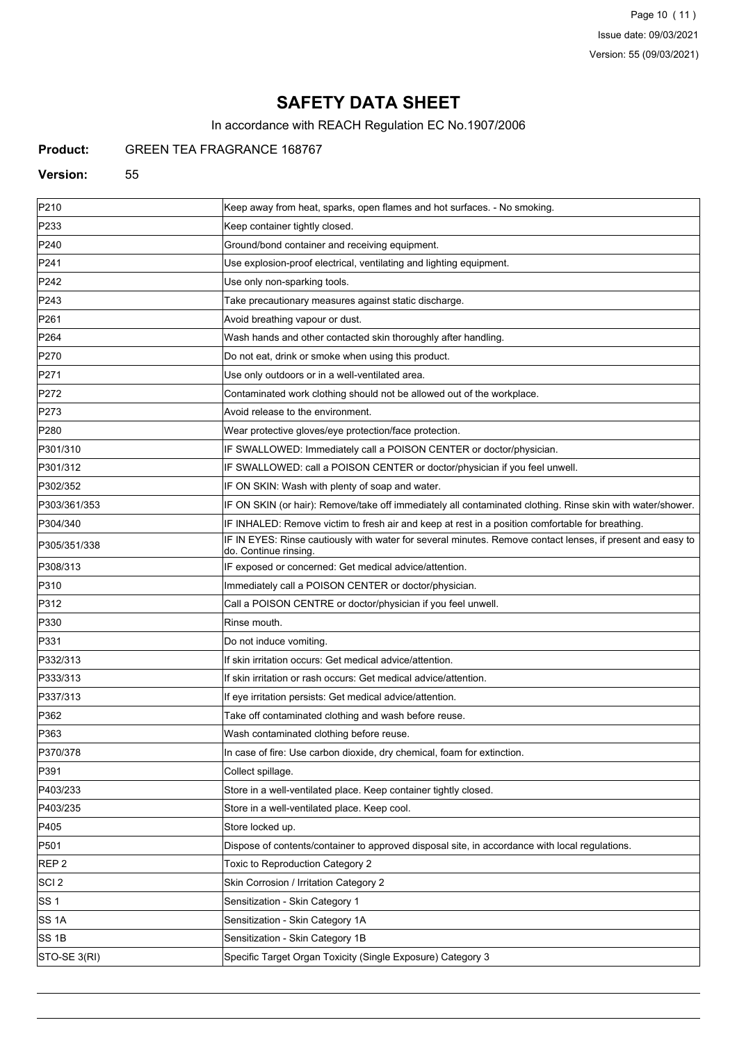Page 10 (11) Issue date: 09/03/2021 Version: 55 (09/03/2021)

# **SAFETY DATA SHEET**

In accordance with REACH Regulation EC No.1907/2006

# **Product:** GREEN TEA FRAGRANCE 168767

#### **Version:** 55

| P210             | Keep away from heat, sparks, open flames and hot surfaces. - No smoking.                                                           |
|------------------|------------------------------------------------------------------------------------------------------------------------------------|
| P233             | Keep container tightly closed.                                                                                                     |
| P240             | Ground/bond container and receiving equipment.                                                                                     |
| P241             | Use explosion-proof electrical, ventilating and lighting equipment.                                                                |
| P242             | Use only non-sparking tools.                                                                                                       |
| P243             | Take precautionary measures against static discharge.                                                                              |
| P261             | Avoid breathing vapour or dust.                                                                                                    |
| P <sub>264</sub> | Wash hands and other contacted skin thoroughly after handling.                                                                     |
| P270             | Do not eat, drink or smoke when using this product.                                                                                |
| P271             | Use only outdoors or in a well-ventilated area.                                                                                    |
| P272             | Contaminated work clothing should not be allowed out of the workplace.                                                             |
| P273             | Avoid release to the environment.                                                                                                  |
| P280             | Wear protective gloves/eye protection/face protection.                                                                             |
| P301/310         | IF SWALLOWED: Immediately call a POISON CENTER or doctor/physician.                                                                |
| P301/312         | IF SWALLOWED: call a POISON CENTER or doctor/physician if you feel unwell.                                                         |
| P302/352         | IF ON SKIN: Wash with plenty of soap and water.                                                                                    |
| P303/361/353     | IF ON SKIN (or hair): Remove/take off immediately all contaminated clothing. Rinse skin with water/shower.                         |
| P304/340         | IF INHALED: Remove victim to fresh air and keep at rest in a position comfortable for breathing.                                   |
| P305/351/338     | IF IN EYES: Rinse cautiously with water for several minutes. Remove contact lenses, if present and easy to<br>do. Continue rinsing |
| P308/313         | IF exposed or concerned: Get medical advice/attention.                                                                             |
| P310             | Immediately call a POISON CENTER or doctor/physician.                                                                              |
| P312             | Call a POISON CENTRE or doctor/physician if you feel unwell.                                                                       |
| P330             | Rinse mouth.                                                                                                                       |
| P331             | Do not induce vomiting.                                                                                                            |
| P332/313         | If skin irritation occurs: Get medical advice/attention.                                                                           |
| P333/313         | If skin irritation or rash occurs: Get medical advice/attention.                                                                   |
| P337/313         | If eye irritation persists: Get medical advice/attention.                                                                          |
| P362             | Take off contaminated clothing and wash before reuse.                                                                              |
| P363             | Wash contaminated clothing before reuse.                                                                                           |
| P370/378         | In case of fire: Use carbon dioxide, dry chemical, foam for extinction.                                                            |
| P391             | Collect spillage.                                                                                                                  |
| P403/233         | Store in a well-ventilated place. Keep container tightly closed.                                                                   |
| P403/235         | Store in a well-ventilated place. Keep cool.                                                                                       |
| P405             | Store locked up.                                                                                                                   |
| P501             | Dispose of contents/container to approved disposal site, in accordance with local regulations.                                     |
| REP <sub>2</sub> | Toxic to Reproduction Category 2                                                                                                   |
| SCI <sub>2</sub> | Skin Corrosion / Irritation Category 2                                                                                             |
| SS 1             | Sensitization - Skin Category 1                                                                                                    |
| SS 1A            | Sensitization - Skin Category 1A                                                                                                   |
| SS 1B            | Sensitization - Skin Category 1B                                                                                                   |
| STO-SE 3(RI)     | Specific Target Organ Toxicity (Single Exposure) Category 3                                                                        |